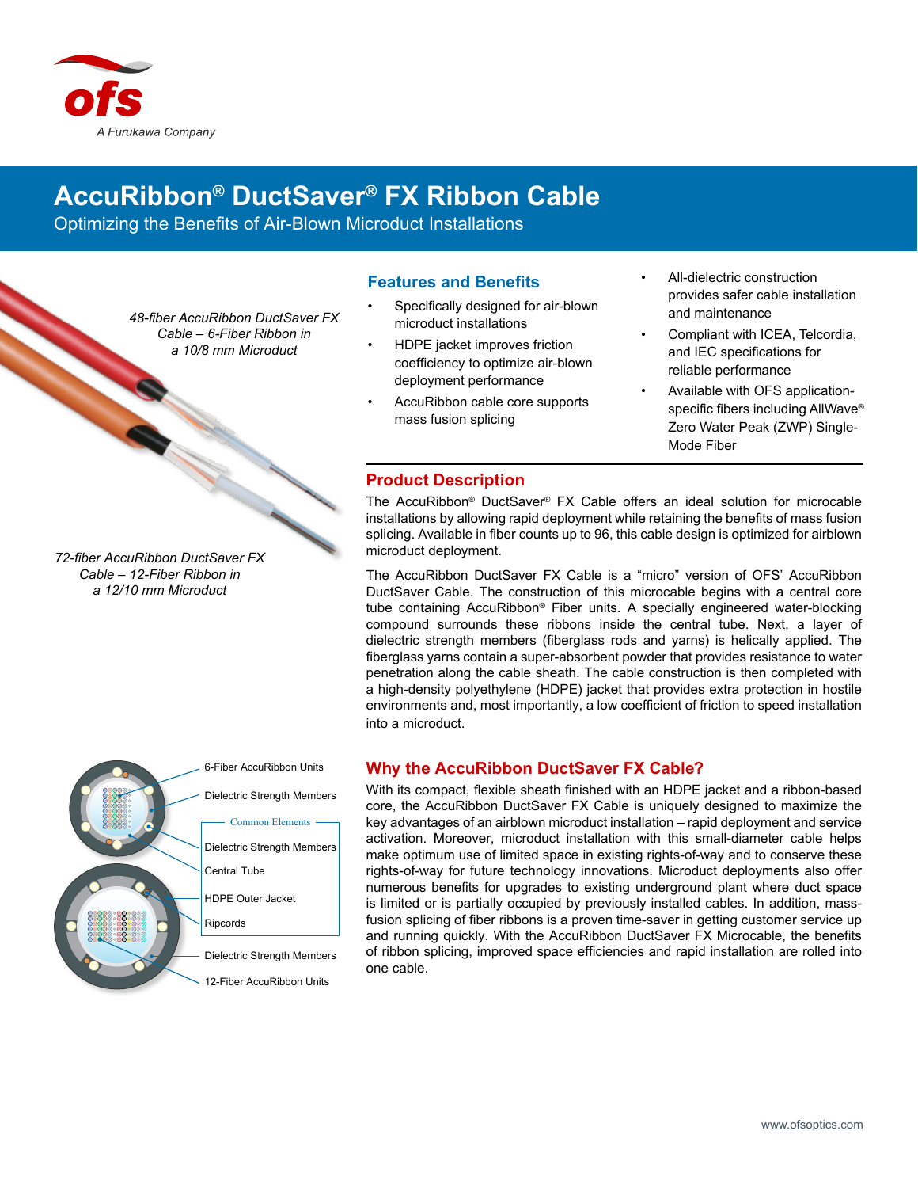

# **AccuRibbon® DuctSaver® FX Ribbon Cable**

Optimizing the Benefits of Air-Blown Microduct Installations

*48-fiber AccuRibbon DuctSaver FX Cable – 6-Fiber Ribbon in a 10/8 mm Microduct* 

*72-fiber AccuRibbon DuctSaver FX Cable – 12-Fiber Ribbon in a 12/10 mm Microduct*



- Dielectric Strength Members 6-Fiber AccuRibbon Units Common Elements Ripcords Dielectric Strength Members HDPE Outer Jacket Central Tube Dielectric Strength Members
- 12-Fiber AccuRibbon Units

#### **Features and Benefits**

- Specifically designed for air-blown microduct installations
- HDPE jacket improves friction coefficiency to optimize air-blown deployment performance
- AccuRibbon cable core supports mass fusion splicing
- All-dielectric construction provides safer cable installation and maintenance
- Compliant with ICEA, Telcordia, and IEC specifications for reliable performance
- Available with OFS applicationspecific fibers including AllWave® Zero Water Peak (ZWP) Single-Mode Fiber

### **Product Description**

The AccuRibbon® DuctSaver® FX Cable offers an ideal solution for microcable installations by allowing rapid deployment while retaining the benefits of mass fusion splicing. Available in fiber counts up to 96, this cable design is optimized for airblown microduct deployment.

The AccuRibbon DuctSaver FX Cable is a "micro" version of OFS' AccuRibbon DuctSaver Cable. The construction of this microcable begins with a central core tube containing AccuRibbon® Fiber units. A specially engineered water-blocking compound surrounds these ribbons inside the central tube. Next, a layer of dielectric strength members (fiberglass rods and yarns) is helically applied. The fiberglass yarns contain a super-absorbent powder that provides resistance to water penetration along the cable sheath. The cable construction is then completed with a high-density polyethylene (HDPE) jacket that provides extra protection in hostile environments and, most importantly, a low coefficient of friction to speed installation into a microduct.

### **Why the AccuRibbon DuctSaver FX Cable?**

With its compact, flexible sheath finished with an HDPE jacket and a ribbon-based core, the AccuRibbon DuctSaver FX Cable is uniquely designed to maximize the key advantages of an airblown microduct installation – rapid deployment and service activation. Moreover, microduct installation with this small-diameter cable helps make optimum use of limited space in existing rights-of-way and to conserve these rights-of-way for future technology innovations. Microduct deployments also offer numerous benefits for upgrades to existing underground plant where duct space is limited or is partially occupied by previously installed cables. In addition, massfusion splicing of fiber ribbons is a proven time-saver in getting customer service up and running quickly. With the AccuRibbon DuctSaver FX Microcable, the benefits of ribbon splicing, improved space efficiencies and rapid installation are rolled into one cable.